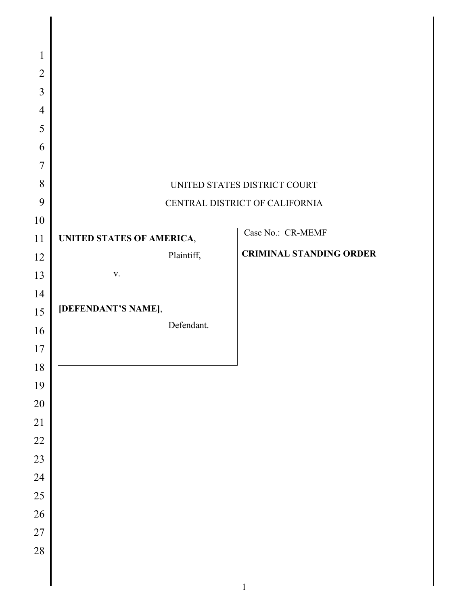| $\mathbf{1}$   |                                   |                                |
|----------------|-----------------------------------|--------------------------------|
| $\overline{2}$ |                                   |                                |
| 3              |                                   |                                |
| $\overline{4}$ |                                   |                                |
| 5              |                                   |                                |
| 6              |                                   |                                |
| $\overline{7}$ |                                   |                                |
| 8              |                                   | UNITED STATES DISTRICT COURT   |
| 9              |                                   | CENTRAL DISTRICT OF CALIFORNIA |
| 10             |                                   |                                |
| 11             | UNITED STATES OF AMERICA,         | Case No.: CR-MEMF              |
| 12             | Plaintiff,                        | <b>CRIMINAL STANDING ORDER</b> |
| 13             | $\mathbf{V}$ .                    |                                |
| 14             |                                   |                                |
| 15             | [DEFENDANT'S NAME],<br>Defendant. |                                |
| 16             |                                   |                                |
| 17             |                                   |                                |
| $18\,$         |                                   |                                |
| 19             |                                   |                                |
| 20<br>21       |                                   |                                |
| 22             |                                   |                                |
| 23             |                                   |                                |
| 24             |                                   |                                |
| 25             |                                   |                                |
| 26             |                                   |                                |
| 27             |                                   |                                |
| 28             |                                   |                                |
|                |                                   |                                |
|                |                                   |                                |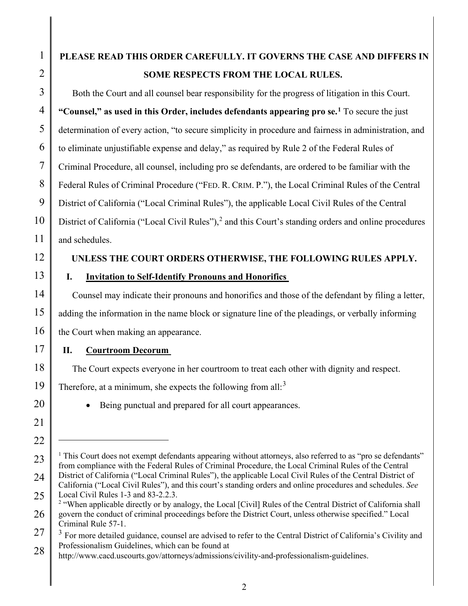# **PLEASE READ THIS ORDER CAREFULLY. IT GOVERNS THE CASE AND DIFFERS IN SOME RESPECTS FROM THE LOCAL RULES.**

Both the Court and all counsel bear responsibility for the progress of litigation in this Court. **"Counsel," as used in this Order, includes defendants appearing pro se.1** To secure the just determination of every action, "to secure simplicity in procedure and fairness in administration, and to eliminate unjustifiable expense and delay," as required by Rule 2 of the Federal Rules of Criminal Procedure, all counsel, including pro se defendants, are ordered to be familiar with the Federal Rules of Criminal Procedure ("FED. R. CRIM. P."), the Local Criminal Rules of the Central District of California ("Local Criminal Rules"), the applicable Local Civil Rules of the Central District of California ("Local Civil Rules"), $<sup>2</sup>$  and this Court's standing orders and online procedures</sup> and schedules.

# **UNLESS THE COURT ORDERS OTHERWISE, THE FOLLOWING RULES APPLY.**

**I. Invitation to Self-Identify Pronouns and Honorifics**

Counsel may indicate their pronouns and honorifics and those of the defendant by filing a letter, adding the information in the name block or signature line of the pleadings, or verbally informing the Court when making an appearance.

# **II. Courtroom Decorum**

The Court expects everyone in her courtroom to treat each other with dignity and respect.

Therefore, at a minimum, she expects the following from all: $3$ 

• Being punctual and prepared for all court appearances.

 $1$  This Court does not exempt defendants appearing without attorneys, also referred to as "pro se defendants" from compliance with the Federal Rules of Criminal Procedure, the Local Criminal Rules of the Central District of California ("Local Criminal Rules"), the applicable Local Civil Rules of the Central District of California ("Local Civil Rules"), and this court's standing orders and online procedures and schedules. *See* Local Civil Rules 1-3 and 83-2.2.3.

<sup>&</sup>lt;sup>2</sup> "When applicable directly or by analogy, the Local [Civil] Rules of the Central District of California shall govern the conduct of criminal proceedings before the District Court, unless otherwise specified." Local Criminal Rule 57-1.

<sup>&</sup>lt;sup>3</sup> For more detailed guidance, counsel are advised to refer to the Central District of California's Civility and Professionalism Guidelines, which can be found at

http://www.cacd.uscourts.gov/attorneys/admissions/civility-and-professionalism-guidelines.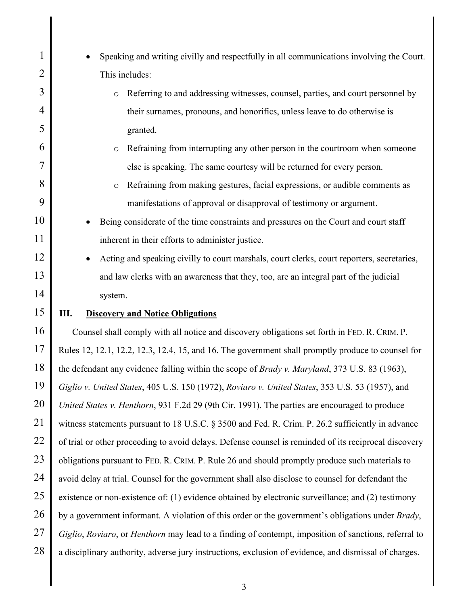| $\mathbf{1}$   | Speaking and writing civilly and respectfully in all communications involving the Court.                  |
|----------------|-----------------------------------------------------------------------------------------------------------|
| $\overline{2}$ | This includes:                                                                                            |
| 3              | Referring to and addressing witnesses, counsel, parties, and court personnel by<br>$\circ$                |
| 4              | their surnames, pronouns, and honorifics, unless leave to do otherwise is                                 |
| 5              | granted.                                                                                                  |
| 6              | Refraining from interrupting any other person in the courtroom when someone<br>$\circ$                    |
| 7              | else is speaking. The same courtesy will be returned for every person.                                    |
| 8              | Refraining from making gestures, facial expressions, or audible comments as<br>$\circ$                    |
| 9              | manifestations of approval or disapproval of testimony or argument.                                       |
| 10             | Being considerate of the time constraints and pressures on the Court and court staff                      |
| 11             | inherent in their efforts to administer justice.                                                          |
| 12             | Acting and speaking civilly to court marshals, court clerks, court reporters, secretaries,<br>$\bullet$   |
| 13             | and law clerks with an awareness that they, too, are an integral part of the judicial                     |
| 14             | system.                                                                                                   |
| 15             | Ш.<br><b>Discovery and Notice Obligations</b>                                                             |
| 16             | Counsel shall comply with all notice and discovery obligations set forth in FED. R. CRIM. P.              |
| 17             | Rules 12, 12.1, 12.2, 12.3, 12.4, 15, and 16. The government shall promptly produce to counsel for        |
| 18             | the defendant any evidence falling within the scope of <i>Brady v. Maryland</i> , 373 U.S. 83 (1963),     |
| 19             | Giglio v. United States, 405 U.S. 150 (1972), Roviaro v. United States, 353 U.S. 53 (1957), and           |
| 20             | United States v. Henthorn, 931 F.2d 29 (9th Cir. 1991). The parties are encouraged to produce             |
| 21             | witness statements pursuant to 18 U.S.C. § 3500 and Fed. R. Crim. P. 26.2 sufficiently in advance         |
| 22             | of trial or other proceeding to avoid delays. Defense counsel is reminded of its reciprocal discovery     |
| 23             | obligations pursuant to FED. R. CRIM. P. Rule 26 and should promptly produce such materials to            |
| 24             | avoid delay at trial. Counsel for the government shall also disclose to counsel for defendant the         |
| 25             | existence or non-existence of: (1) evidence obtained by electronic surveillance; and (2) testimony        |
| 26             | by a government informant. A violation of this order or the government's obligations under <i>Brady</i> , |
| 27             | Giglio, Roviaro, or Henthorn may lead to a finding of contempt, imposition of sanctions, referral to      |
| 28             | a disciplinary authority, adverse jury instructions, exclusion of evidence, and dismissal of charges.     |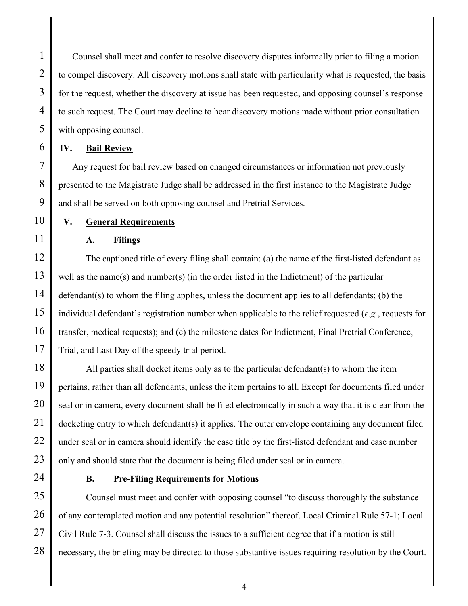Counsel shall meet and confer to resolve discovery disputes informally prior to filing a motion to compel discovery. All discovery motions shall state with particularity what is requested, the basis for the request, whether the discovery at issue has been requested, and opposing counsel's response to such request. The Court may decline to hear discovery motions made without prior consultation with opposing counsel.

#### **IV. Bail Review**

Any request for bail review based on changed circumstances or information not previously presented to the Magistrate Judge shall be addressed in the first instance to the Magistrate Judge and shall be served on both opposing counsel and Pretrial Services.

**V. General Requirements**

#### **A. Filings**

The captioned title of every filing shall contain: (a) the name of the first-listed defendant as well as the name(s) and number(s) (in the order listed in the Indictment) of the particular defendant(s) to whom the filing applies, unless the document applies to all defendants; (b) the individual defendant's registration number when applicable to the relief requested (*e.g.*, requests for transfer, medical requests); and (c) the milestone dates for Indictment, Final Pretrial Conference, Trial, and Last Day of the speedy trial period.

All parties shall docket items only as to the particular defendant(s) to whom the item pertains, rather than all defendants, unless the item pertains to all. Except for documents filed under seal or in camera, every document shall be filed electronically in such a way that it is clear from the docketing entry to which defendant(s) it applies. The outer envelope containing any document filed under seal or in camera should identify the case title by the first-listed defendant and case number only and should state that the document is being filed under seal or in camera.

# **B. Pre-Filing Requirements for Motions**

Counsel must meet and confer with opposing counsel "to discuss thoroughly the substance of any contemplated motion and any potential resolution" thereof. Local Criminal Rule 57-1; Local Civil Rule 7-3. Counsel shall discuss the issues to a sufficient degree that if a motion is still necessary, the briefing may be directed to those substantive issues requiring resolution by the Court.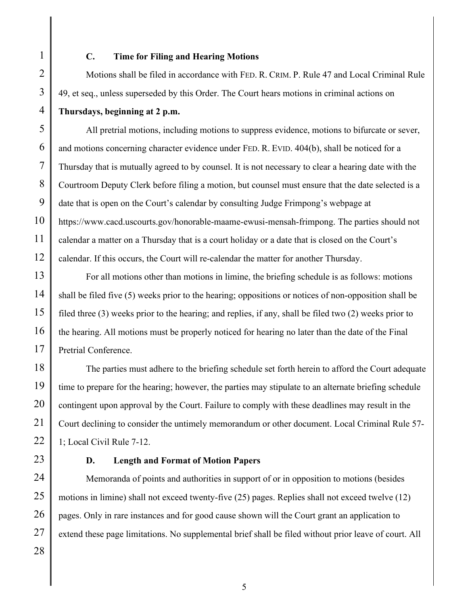# **C. Time for Filing and Hearing Motions**

Motions shall be filed in accordance with FED. R. CRIM. P. Rule 47 and Local Criminal Rule 49, et seq., unless superseded by this Order. The Court hears motions in criminal actions on **Thursdays, beginning at 2 p.m.**

All pretrial motions, including motions to suppress evidence, motions to bifurcate or sever, and motions concerning character evidence under FED. R. EVID. 404(b), shall be noticed for a Thursday that is mutually agreed to by counsel. It is not necessary to clear a hearing date with the Courtroom Deputy Clerk before filing a motion, but counsel must ensure that the date selected is a date that is open on the Court's calendar by consulting Judge Frimpong's webpage at https://www.cacd.uscourts.gov/honorable-maame-ewusi-mensah-frimpong. The parties should not calendar a matter on a Thursday that is a court holiday or a date that is closed on the Court's calendar. If this occurs, the Court will re-calendar the matter for another Thursday.

For all motions other than motions in limine, the briefing schedule is as follows: motions shall be filed five (5) weeks prior to the hearing; oppositions or notices of non-opposition shall be filed three (3) weeks prior to the hearing; and replies, if any, shall be filed two (2) weeks prior to the hearing. All motions must be properly noticed for hearing no later than the date of the Final Pretrial Conference.

The parties must adhere to the briefing schedule set forth herein to afford the Court adequate time to prepare for the hearing; however, the parties may stipulate to an alternate briefing schedule contingent upon approval by the Court. Failure to comply with these deadlines may result in the Court declining to consider the untimely memorandum or other document. Local Criminal Rule 57- 1; Local Civil Rule 7-12.

#### **D. Length and Format of Motion Papers**

Memoranda of points and authorities in support of or in opposition to motions (besides motions in limine) shall not exceed twenty-five (25) pages. Replies shall not exceed twelve (12) pages. Only in rare instances and for good cause shown will the Court grant an application to extend these page limitations. No supplemental brief shall be filed without prior leave of court. All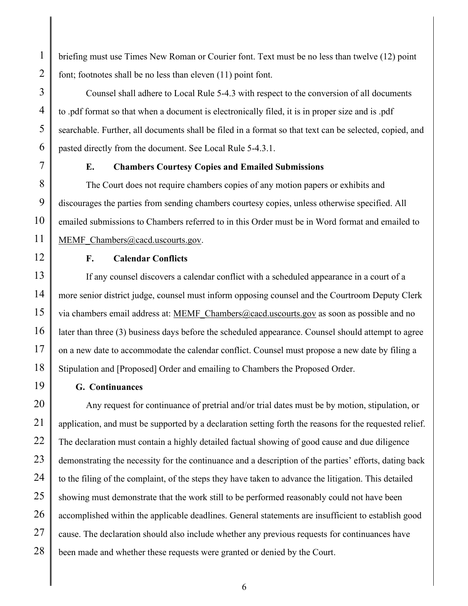briefing must use Times New Roman or Courier font. Text must be no less than twelve (12) point font; footnotes shall be no less than eleven (11) point font.

Counsel shall adhere to Local Rule 5-4.3 with respect to the conversion of all documents to .pdf format so that when a document is electronically filed, it is in proper size and is .pdf searchable. Further, all documents shall be filed in a format so that text can be selected, copied, and pasted directly from the document. See Local Rule 5-4.3.1.

## **E. Chambers Courtesy Copies and Emailed Submissions**

The Court does not require chambers copies of any motion papers or exhibits and discourages the parties from sending chambers courtesy copies, unless otherwise specified. All emailed submissions to Chambers referred to in this Order must be in Word format and emailed to MEMF Chambers@cacd.uscourts.gov.

**F. Calendar Conflicts**

If any counsel discovers a calendar conflict with a scheduled appearance in a court of a more senior district judge, counsel must inform opposing counsel and the Courtroom Deputy Clerk via chambers email address at: MEMF\_Chambers@cacd.uscourts.gov as soon as possible and no later than three (3) business days before the scheduled appearance. Counsel should attempt to agree on a new date to accommodate the calendar conflict. Counsel must propose a new date by filing a Stipulation and [Proposed] Order and emailing to Chambers the Proposed Order.

# **G. Continuances**

28 Any request for continuance of pretrial and/or trial dates must be by motion, stipulation, or application, and must be supported by a declaration setting forth the reasons for the requested relief. The declaration must contain a highly detailed factual showing of good cause and due diligence demonstrating the necessity for the continuance and a description of the parties' efforts, dating back to the filing of the complaint, of the steps they have taken to advance the litigation. This detailed showing must demonstrate that the work still to be performed reasonably could not have been accomplished within the applicable deadlines. General statements are insufficient to establish good cause. The declaration should also include whether any previous requests for continuances have been made and whether these requests were granted or denied by the Court.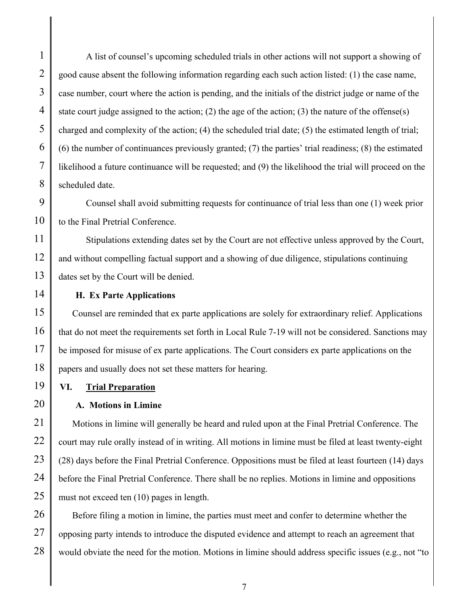2

3

A list of counsel's upcoming scheduled trials in other actions will not support a showing of good cause absent the following information regarding each such action listed: (1) the case name, case number, court where the action is pending, and the initials of the district judge or name of the state court judge assigned to the action; (2) the age of the action; (3) the nature of the offense(s) charged and complexity of the action; (4) the scheduled trial date; (5) the estimated length of trial; (6) the number of continuances previously granted; (7) the parties' trial readiness; (8) the estimated likelihood a future continuance will be requested; and (9) the likelihood the trial will proceed on the scheduled date.

Counsel shall avoid submitting requests for continuance of trial less than one (1) week prior to the Final Pretrial Conference.

Stipulations extending dates set by the Court are not effective unless approved by the Court, and without compelling factual support and a showing of due diligence, stipulations continuing dates set by the Court will be denied.

# **H. Ex Parte Applications**

Counsel are reminded that ex parte applications are solely for extraordinary relief. Applications that do not meet the requirements set forth in Local Rule 7-19 will not be considered. Sanctions may be imposed for misuse of ex parte applications. The Court considers ex parte applications on the papers and usually does not set these matters for hearing.

# **VI. Trial Preparation**

# **A. Motions in Limine**

Motions in limine will generally be heard and ruled upon at the Final Pretrial Conference. The court may rule orally instead of in writing. All motions in limine must be filed at least twenty-eight (28) days before the Final Pretrial Conference. Oppositions must be filed at least fourteen (14) days before the Final Pretrial Conference. There shall be no replies. Motions in limine and oppositions must not exceed ten (10) pages in length.

Before filing a motion in limine, the parties must meet and confer to determine whether the opposing party intends to introduce the disputed evidence and attempt to reach an agreement that would obviate the need for the motion. Motions in limine should address specific issues (e.g., not "to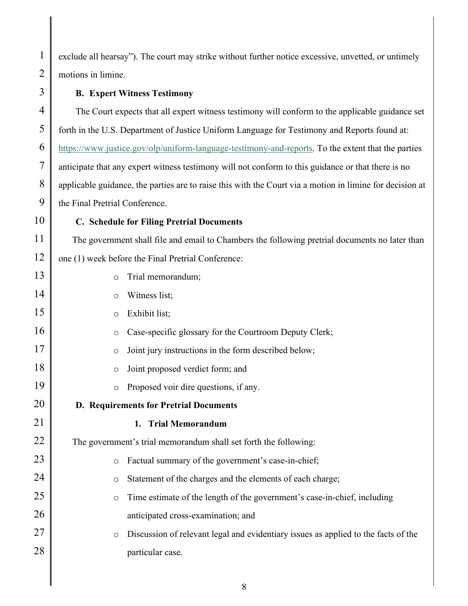1 2 3 4 5 6 7 8 9 10 11 12 13 14 15 16 17 18 19 20 21 22 23 24 25 26 27 28 exclude all hearsay"). The court may strike without further notice excessive, unvetted, or untimely motions in limine. **B. Expert Witness Testimony** The Court expects that all expert witness testimony will conform to the applicable guidance set forth in the U.S. Department of Justice Uniform Language for Testimony and Reports found at: https://www.justice.gov/olp/uniform-language-testimony-and-reports. To the extent that the parties anticipate that any expert witness testimony will not conform to this guidance or that there is no applicable guidance, the parties are to raise this with the Court via a motion in limine for decision at the Final Pretrial Conference. **C. Schedule for Filing Pretrial Documents** The government shall file and email to Chambers the following pretrial documents no later than one (1) week before the Final Pretrial Conference: o Trial memorandum; o Witness list; o Exhibit list; o Case-specific glossary for the Courtroom Deputy Clerk; o Joint jury instructions in the form described below; o Joint proposed verdict form; and o Proposed voir dire questions, if any. **D. Requirements for Pretrial Documents 1. Trial Memorandum** The government's trial memorandum shall set forth the following: o Factual summary of the government's case-in-chief; o Statement of the charges and the elements of each charge; o Time estimate of the length of the government's case-in-chief, including anticipated cross-examination; and o Discussion of relevant legal and evidentiary issues as applied to the facts of the particular case.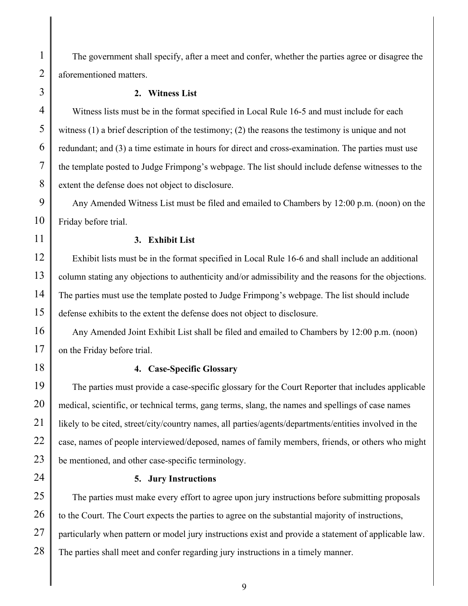The government shall specify, after a meet and confer, whether the parties agree or disagree the aforementioned matters.

#### **2. Witness List**

Witness lists must be in the format specified in Local Rule 16-5 and must include for each witness (1) a brief description of the testimony; (2) the reasons the testimony is unique and not redundant; and (3) a time estimate in hours for direct and cross-examination. The parties must use the template posted to Judge Frimpong's webpage. The list should include defense witnesses to the extent the defense does not object to disclosure.

Any Amended Witness List must be filed and emailed to Chambers by 12:00 p.m. (noon) on the Friday before trial.

#### **3. Exhibit List**

Exhibit lists must be in the format specified in Local Rule 16-6 and shall include an additional column stating any objections to authenticity and/or admissibility and the reasons for the objections. The parties must use the template posted to Judge Frimpong's webpage. The list should include defense exhibits to the extent the defense does not object to disclosure.

Any Amended Joint Exhibit List shall be filed and emailed to Chambers by 12:00 p.m. (noon) on the Friday before trial.

## **4. Case-Specific Glossary**

The parties must provide a case-specific glossary for the Court Reporter that includes applicable medical, scientific, or technical terms, gang terms, slang, the names and spellings of case names likely to be cited, street/city/country names, all parties/agents/departments/entities involved in the case, names of people interviewed/deposed, names of family members, friends, or others who might be mentioned, and other case-specific terminology.

#### **5. Jury Instructions**

The parties must make every effort to agree upon jury instructions before submitting proposals to the Court. The Court expects the parties to agree on the substantial majority of instructions, particularly when pattern or model jury instructions exist and provide a statement of applicable law. The parties shall meet and confer regarding jury instructions in a timely manner.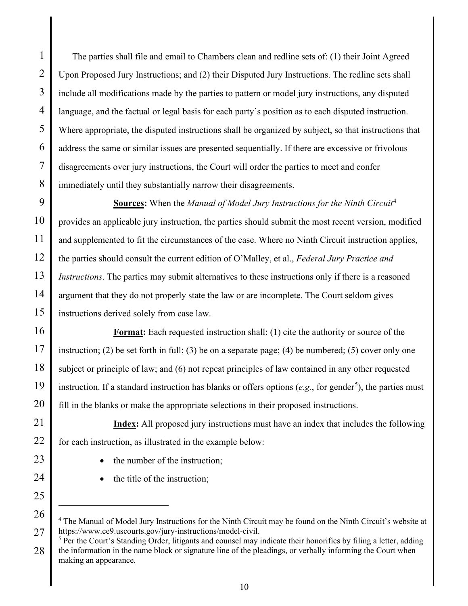The parties shall file and email to Chambers clean and redline sets of: (1) their Joint Agreed Upon Proposed Jury Instructions; and (2) their Disputed Jury Instructions. The redline sets shall include all modifications made by the parties to pattern or model jury instructions, any disputed language, and the factual or legal basis for each party's position as to each disputed instruction. Where appropriate, the disputed instructions shall be organized by subject, so that instructions that address the same or similar issues are presented sequentially. If there are excessive or frivolous disagreements over jury instructions, the Court will order the parties to meet and confer immediately until they substantially narrow their disagreements.

**Sources:** When the *Manual of Model Jury Instructions for the Ninth Circuit*<sup>4</sup> provides an applicable jury instruction, the parties should submit the most recent version, modified and supplemented to fit the circumstances of the case. Where no Ninth Circuit instruction applies, the parties should consult the current edition of O'Malley, et al., *Federal Jury Practice and Instructions*. The parties may submit alternatives to these instructions only if there is a reasoned argument that they do not properly state the law or are incomplete. The Court seldom gives instructions derived solely from case law.

**Format:** Each requested instruction shall: (1) cite the authority or source of the instruction; (2) be set forth in full; (3) be on a separate page; (4) be numbered; (5) cover only one subject or principle of law; and (6) not repeat principles of law contained in any other requested instruction. If a standard instruction has blanks or offers options  $(e.g.,$  for gender<sup>5</sup>), the parties must fill in the blanks or make the appropriate selections in their proposed instructions.

**Index:** All proposed jury instructions must have an index that includes the following for each instruction, as illustrated in the example below:

- the number of the instruction;
- the title of the instruction;

<sup>5</sup> Per the Court's Standing Order, litigants and counsel may indicate their honorifics by filing a letter, adding the information in the name block or signature line of the pleadings, or verbally informing the Court when making an appearance.

<sup>4</sup> The Manual of Model Jury Instructions for the Ninth Circuit may be found on the Ninth Circuit's website at https://www.ce9.uscourts.gov/jury-instructions/model-civil.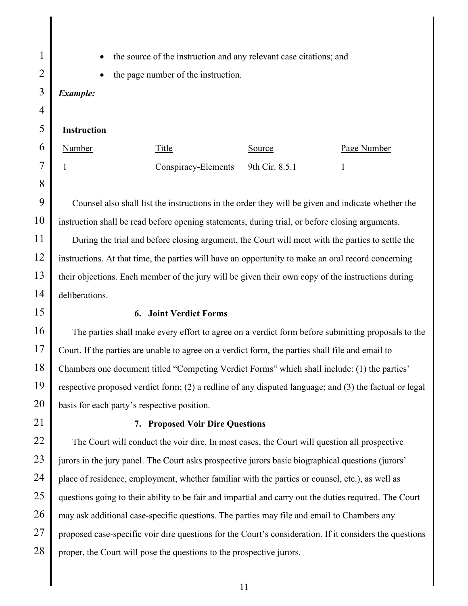• the source of the instruction and any relevant case citations; and

the page number of the instruction.

# *Example:*

#### **Instruction**

| Number | Title                              | Source | Page Number |
|--------|------------------------------------|--------|-------------|
|        | Conspiracy-Elements 9th Cir. 8.5.1 |        |             |

Counsel also shall list the instructions in the order they will be given and indicate whether the instruction shall be read before opening statements, during trial, or before closing arguments. During the trial and before closing argument, the Court will meet with the parties to settle the instructions. At that time, the parties will have an opportunity to make an oral record concerning their objections. Each member of the jury will be given their own copy of the instructions during deliberations.

#### **6. Joint Verdict Forms**

The parties shall make every effort to agree on a verdict form before submitting proposals to the Court. If the parties are unable to agree on a verdict form, the parties shall file and email to Chambers one document titled "Competing Verdict Forms" which shall include: (1) the parties' respective proposed verdict form; (2) a redline of any disputed language; and (3) the factual or legal basis for each party's respective position.

#### **7. Proposed Voir Dire Questions**

The Court will conduct the voir dire. In most cases, the Court will question all prospective jurors in the jury panel. The Court asks prospective jurors basic biographical questions (jurors' place of residence, employment, whether familiar with the parties or counsel, etc.), as well as questions going to their ability to be fair and impartial and carry out the duties required. The Court may ask additional case-specific questions. The parties may file and email to Chambers any proposed case-specific voir dire questions for the Court's consideration. If it considers the questions proper, the Court will pose the questions to the prospective jurors.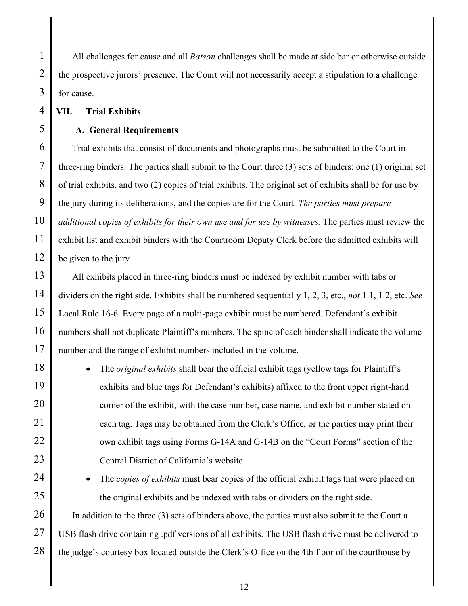All challenges for cause and all *Batson* challenges shall be made at side bar or otherwise outside the prospective jurors' presence. The Court will not necessarily accept a stipulation to a challenge for cause.

**VII. Trial Exhibits**

#### **A. General Requirements**

Trial exhibits that consist of documents and photographs must be submitted to the Court in three-ring binders. The parties shall submit to the Court three (3) sets of binders: one (1) original set of trial exhibits, and two (2) copies of trial exhibits. The original set of exhibits shall be for use by the jury during its deliberations, and the copies are for the Court. *The parties must prepare additional copies of exhibits for their own use and for use by witnesses.* The parties must review the exhibit list and exhibit binders with the Courtroom Deputy Clerk before the admitted exhibits will be given to the jury.

All exhibits placed in three-ring binders must be indexed by exhibit number with tabs or dividers on the right side. Exhibits shall be numbered sequentially 1, 2, 3, etc., *not* 1.1, 1.2, etc. *See*  Local Rule 16-6. Every page of a multi-page exhibit must be numbered. Defendant's exhibit numbers shall not duplicate Plaintiff's numbers. The spine of each binder shall indicate the volume number and the range of exhibit numbers included in the volume.

• The *original exhibits* shall bear the official exhibit tags (yellow tags for Plaintiff's exhibits and blue tags for Defendant's exhibits) affixed to the front upper right-hand corner of the exhibit, with the case number, case name, and exhibit number stated on each tag. Tags may be obtained from the Clerk's Office, or the parties may print their own exhibit tags using Forms G-14A and G-14B on the "Court Forms" section of the Central District of California's website.

• The *copies of exhibits* must bear copies of the official exhibit tags that were placed on the original exhibits and be indexed with tabs or dividers on the right side.

In addition to the three (3) sets of binders above, the parties must also submit to the Court a USB flash drive containing .pdf versions of all exhibits. The USB flash drive must be delivered to the judge's courtesy box located outside the Clerk's Office on the 4th floor of the courthouse by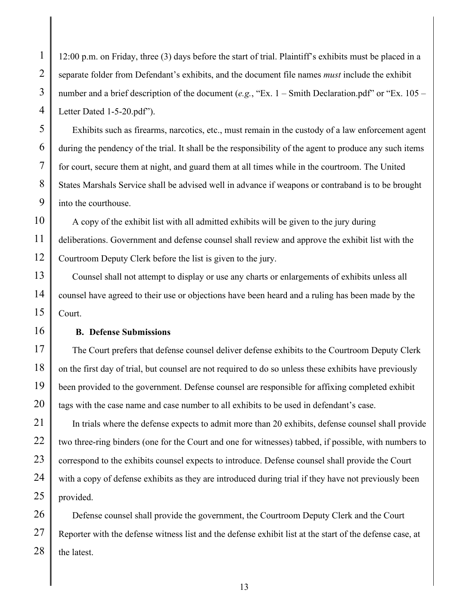12:00 p.m. on Friday, three (3) days before the start of trial. Plaintiff's exhibits must be placed in a separate folder from Defendant's exhibits, and the document file names *must* include the exhibit number and a brief description of the document (*e.g.*, "Ex. 1 – Smith Declaration.pdf" or "Ex. 105 – Letter Dated 1-5-20.pdf").

Exhibits such as firearms, narcotics, etc., must remain in the custody of a law enforcement agent during the pendency of the trial. It shall be the responsibility of the agent to produce any such items for court, secure them at night, and guard them at all times while in the courtroom. The United States Marshals Service shall be advised well in advance if weapons or contraband is to be brought into the courthouse.

A copy of the exhibit list with all admitted exhibits will be given to the jury during deliberations. Government and defense counsel shall review and approve the exhibit list with the Courtroom Deputy Clerk before the list is given to the jury.

Counsel shall not attempt to display or use any charts or enlargements of exhibits unless all counsel have agreed to their use or objections have been heard and a ruling has been made by the Court.

#### **B. Defense Submissions**

The Court prefers that defense counsel deliver defense exhibits to the Courtroom Deputy Clerk on the first day of trial, but counsel are not required to do so unless these exhibits have previously been provided to the government. Defense counsel are responsible for affixing completed exhibit tags with the case name and case number to all exhibits to be used in defendant's case.

In trials where the defense expects to admit more than 20 exhibits, defense counsel shall provide two three-ring binders (one for the Court and one for witnesses) tabbed, if possible, with numbers to correspond to the exhibits counsel expects to introduce. Defense counsel shall provide the Court with a copy of defense exhibits as they are introduced during trial if they have not previously been provided.

28 Defense counsel shall provide the government, the Courtroom Deputy Clerk and the Court Reporter with the defense witness list and the defense exhibit list at the start of the defense case, at the latest.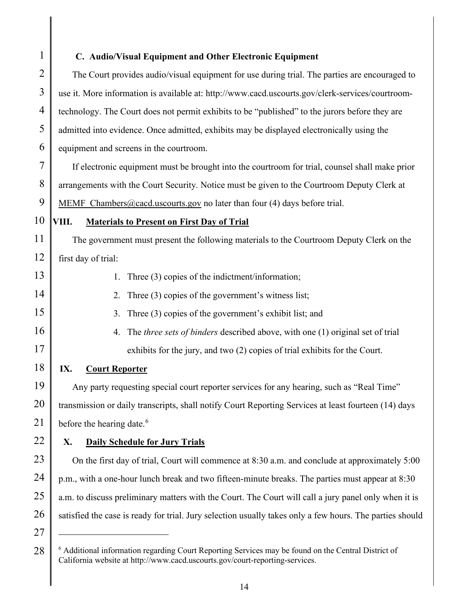1 2 3 4 5 6 7 8 9 10 11 12 13 14 15 16 17 18 19 20 21 22 23 24 25 26 27 **C. Audio/Visual Equipment and Other Electronic Equipment** The Court provides audio/visual equipment for use during trial. The parties are encouraged to use it. More information is available at: http://www.cacd.uscourts.gov/clerk-services/courtroomtechnology. The Court does not permit exhibits to be "published" to the jurors before they are admitted into evidence. Once admitted, exhibits may be displayed electronically using the equipment and screens in the courtroom. If electronic equipment must be brought into the courtroom for trial, counsel shall make prior arrangements with the Court Security. Notice must be given to the Courtroom Deputy Clerk at MEMF Chambers@cacd.uscourts.gov no later than four (4) days before trial. **VIII. Materials to Present on First Day of Trial** The government must present the following materials to the Courtroom Deputy Clerk on the first day of trial: 1. Three (3) copies of the indictment/information; 2. Three (3) copies of the government's witness list; 3. Three (3) copies of the government's exhibit list; and 4. The *three sets of binders* described above, with one (1) original set of trial exhibits for the jury, and two (2) copies of trial exhibits for the Court. **IX. Court Reporter** Any party requesting special court reporter services for any hearing, such as "Real Time" transmission or daily transcripts, shall notify Court Reporting Services at least fourteen (14) days before the hearing date.<sup>6</sup> **X. Daily Schedule for Jury Trials** On the first day of trial, Court will commence at 8:30 a.m. and conclude at approximately 5:00 p.m., with a one-hour lunch break and two fifteen-minute breaks. The parties must appear at 8:30 a.m. to discuss preliminary matters with the Court. The Court will call a jury panel only when it is satisfied the case is ready for trial. Jury selection usually takes only a few hours. The parties should

<sup>28</sup> <sup>6</sup> Additional information regarding Court Reporting Services may be found on the Central District of California website at http://www.cacd.uscourts.gov/court-reporting-services.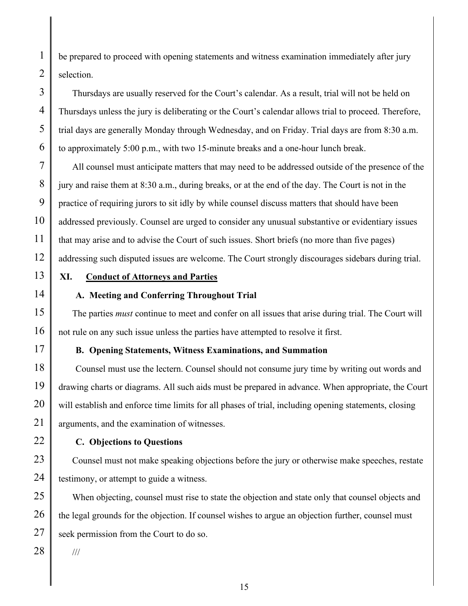be prepared to proceed with opening statements and witness examination immediately after jury selection.

Thursdays are usually reserved for the Court's calendar. As a result, trial will not be held on Thursdays unless the jury is deliberating or the Court's calendar allows trial to proceed. Therefore, trial days are generally Monday through Wednesday, and on Friday. Trial days are from 8:30 a.m. to approximately 5:00 p.m., with two 15-minute breaks and a one-hour lunch break.

All counsel must anticipate matters that may need to be addressed outside of the presence of the jury and raise them at 8:30 a.m., during breaks, or at the end of the day. The Court is not in the practice of requiring jurors to sit idly by while counsel discuss matters that should have been addressed previously. Counsel are urged to consider any unusual substantive or evidentiary issues that may arise and to advise the Court of such issues. Short briefs (no more than five pages) addressing such disputed issues are welcome. The Court strongly discourages sidebars during trial.

13

1

2

3

4

5

6

7

8

9

10

11

12

14

15

16

17

18

19

20

21

22

23

24

25

26

27

28

# **XI. Conduct of Attorneys and Parties**

## **A. Meeting and Conferring Throughout Trial**

The parties *must* continue to meet and confer on all issues that arise during trial. The Court will not rule on any such issue unless the parties have attempted to resolve it first.

# **B. Opening Statements, Witness Examinations, and Summation**

Counsel must use the lectern. Counsel should not consume jury time by writing out words and drawing charts or diagrams. All such aids must be prepared in advance. When appropriate, the Court will establish and enforce time limits for all phases of trial, including opening statements, closing arguments, and the examination of witnesses.

# **C. Objections to Questions**

Counsel must not make speaking objections before the jury or otherwise make speeches, restate testimony, or attempt to guide a witness.

When objecting, counsel must rise to state the objection and state only that counsel objects and the legal grounds for the objection. If counsel wishes to argue an objection further, counsel must seek permission from the Court to do so.

///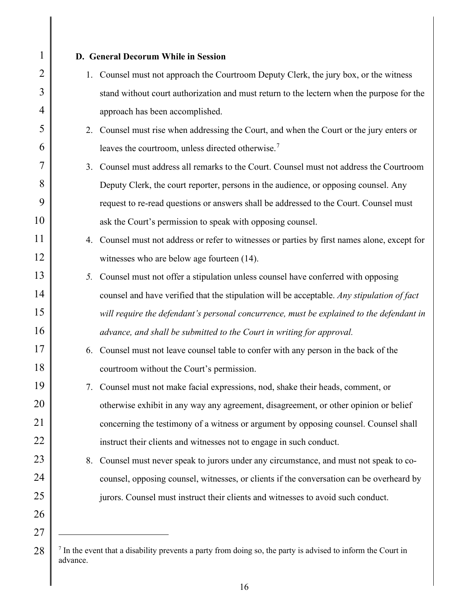| $\mathbf{1}$   |    | D. General Decorum While in Session                                                           |
|----------------|----|-----------------------------------------------------------------------------------------------|
| $\overline{2}$ |    | 1. Counsel must not approach the Courtroom Deputy Clerk, the jury box, or the witness         |
| 3              |    | stand without court authorization and must return to the lectern when the purpose for the     |
| 4              |    | approach has been accomplished.                                                               |
| 5              |    | 2. Counsel must rise when addressing the Court, and when the Court or the jury enters or      |
| 6              |    | leaves the courtroom, unless directed otherwise. <sup>7</sup>                                 |
| 7              |    | 3. Counsel must address all remarks to the Court. Counsel must not address the Courtroom      |
| 8              |    | Deputy Clerk, the court reporter, persons in the audience, or opposing counsel. Any           |
| 9              |    | request to re-read questions or answers shall be addressed to the Court. Counsel must         |
| 10             |    | ask the Court's permission to speak with opposing counsel.                                    |
| 11             |    | 4. Counsel must not address or refer to witnesses or parties by first names alone, except for |
| 12             |    | witnesses who are below age fourteen (14).                                                    |
| 13             | 5. | Counsel must not offer a stipulation unless counsel have conferred with opposing              |
| 14             |    | counsel and have verified that the stipulation will be acceptable. Any stipulation of fact    |
| 15             |    | will require the defendant's personal concurrence, must be explained to the defendant in      |
| 16             |    | advance, and shall be submitted to the Court in writing for approval.                         |
| 17             | 6. | Counsel must not leave counsel table to confer with any person in the back of the             |
| 18             |    | courtroom without the Court's permission.                                                     |
| 19             |    | 7. Counsel must not make facial expressions, nod, shake their heads, comment, or              |
| 20             |    | otherwise exhibit in any way any agreement, disagreement, or other opinion or belief          |
| 21             |    | concerning the testimony of a witness or argument by opposing counsel. Counsel shall          |
| 22             |    | instruct their clients and witnesses not to engage in such conduct.                           |
| 23             | 8. | Counsel must never speak to jurors under any circumstance, and must not speak to co-          |
| 24             |    | counsel, opposing counsel, witnesses, or clients if the conversation can be overheard by      |
| 25             |    | jurors. Counsel must instruct their clients and witnesses to avoid such conduct.              |
| 26             |    |                                                                                               |
| 27             |    |                                                                                               |

 $<sup>7</sup>$  In the event that a disability prevents a party from doing so, the party is advised to inform the Court in</sup> advance.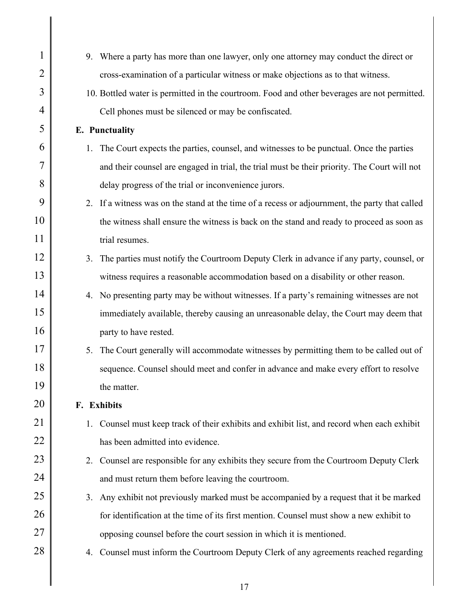| $\mathbf{1}$   |    | 9. Where a party has more than one lawyer, only one attorney may conduct the direct or         |
|----------------|----|------------------------------------------------------------------------------------------------|
| $\overline{2}$ |    | cross-examination of a particular witness or make objections as to that witness.               |
| 3              |    | 10. Bottled water is permitted in the courtroom. Food and other beverages are not permitted.   |
| 4              |    | Cell phones must be silenced or may be confiscated.                                            |
| 5              |    | <b>E.</b> Punctuality                                                                          |
| 6              | 1. | The Court expects the parties, counsel, and witnesses to be punctual. Once the parties         |
| 7              |    | and their counsel are engaged in trial, the trial must be their priority. The Court will not   |
| 8              |    | delay progress of the trial or inconvenience jurors.                                           |
| 9              |    | 2. If a witness was on the stand at the time of a recess or adjournment, the party that called |
| 10             |    | the witness shall ensure the witness is back on the stand and ready to proceed as soon as      |
| 11             |    | trial resumes.                                                                                 |
| 12             | 3. | The parties must notify the Courtroom Deputy Clerk in advance if any party, counsel, or        |
| 13             |    | witness requires a reasonable accommodation based on a disability or other reason.             |
| 14             |    | 4. No presenting party may be without witnesses. If a party's remaining witnesses are not      |
| 15             |    | immediately available, thereby causing an unreasonable delay, the Court may deem that          |
| 16             |    | party to have rested.                                                                          |
| 17             | 5. | The Court generally will accommodate witnesses by permitting them to be called out of          |
| 18             |    | sequence. Counsel should meet and confer in advance and make every effort to resolve           |
| 19             |    | the matter.                                                                                    |
| 20             |    | F. Exhibits                                                                                    |
| 21             | 1. | Counsel must keep track of their exhibits and exhibit list, and record when each exhibit       |
| 22             |    | has been admitted into evidence.                                                               |
| 23             | 2. | Counsel are responsible for any exhibits they secure from the Courtroom Deputy Clerk           |
| 24             |    | and must return them before leaving the courtroom.                                             |
| 25             | 3. | Any exhibit not previously marked must be accompanied by a request that it be marked           |
| 26             |    | for identification at the time of its first mention. Counsel must show a new exhibit to        |
| 27             |    | opposing counsel before the court session in which it is mentioned.                            |
| 28             | 4. | Counsel must inform the Courtroom Deputy Clerk of any agreements reached regarding             |
|                |    |                                                                                                |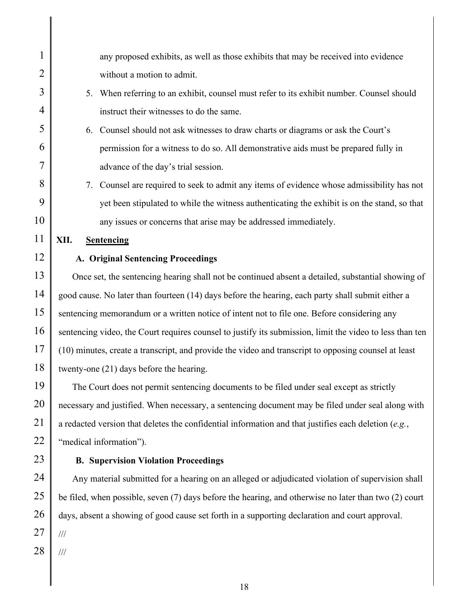| $\mathbf{1}$   | any proposed exhibits, as well as those exhibits that may be received into evidence                      |
|----------------|----------------------------------------------------------------------------------------------------------|
| $\overline{2}$ | without a motion to admit.                                                                               |
| 3              | When referring to an exhibit, counsel must refer to its exhibit number. Counsel should<br>5.             |
| 4              | instruct their witnesses to do the same.                                                                 |
| 5              | Counsel should not ask witnesses to draw charts or diagrams or ask the Court's<br>6.                     |
| 6              | permission for a witness to do so. All demonstrative aids must be prepared fully in                      |
| 7              | advance of the day's trial session.                                                                      |
| 8              | Counsel are required to seek to admit any items of evidence whose admissibility has not<br>7.            |
| 9              | yet been stipulated to while the witness authenticating the exhibit is on the stand, so that             |
| 10             | any issues or concerns that arise may be addressed immediately.                                          |
| 11             | XII.<br><b>Sentencing</b>                                                                                |
| 12             | A. Original Sentencing Proceedings                                                                       |
| 13             | Once set, the sentencing hearing shall not be continued absent a detailed, substantial showing of        |
| 14             | good cause. No later than fourteen (14) days before the hearing, each party shall submit either a        |
| 15             | sentencing memorandum or a written notice of intent not to file one. Before considering any              |
| 16             | sentencing video, the Court requires counsel to justify its submission, limit the video to less than ten |
| 17             | (10) minutes, create a transcript, and provide the video and transcript to opposing counsel at least     |
| 18             | twenty-one $(21)$ days before the hearing.                                                               |
| 19             | The Court does not permit sentencing documents to be filed under seal except as strictly                 |
| 20             | necessary and justified. When necessary, a sentencing document may be filed under seal along with        |
| 21             | a redacted version that deletes the confidential information and that justifies each deletion (e.g.,     |
| 22             | "medical information").                                                                                  |
| 23             | <b>B. Supervision Violation Proceedings</b>                                                              |
| 24             | Any material submitted for a hearing on an alleged or adjudicated violation of supervision shall         |
| 25             | be filed, when possible, seven (7) days before the hearing, and otherwise no later than two (2) court    |
| 26             | days, absent a showing of good cause set forth in a supporting declaration and court approval.           |

28 ///

///